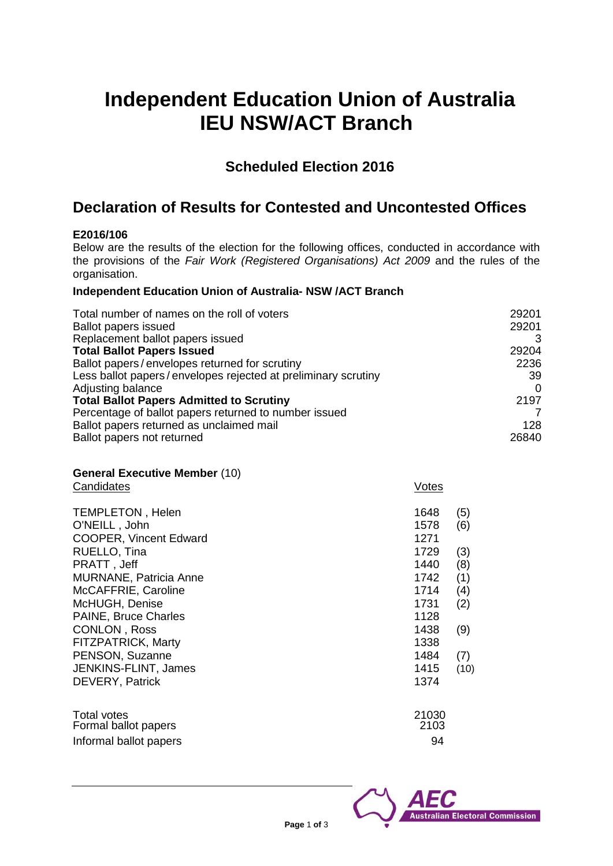# **Independent Education Union of Australia IEU NSW/ACT Branch**

## **Scheduled Election 2016**

## **Declaration of Results for Contested and Uncontested Offices**

### **E2016/106**

Below are the results of the election for the following offices, conducted in accordance with the provisions of the *Fair Work (Registered Organisations) Act 2009* and the rules of the organisation.

#### **Independent Education Union of Australia- NSW /ACT Branch**

| Total number of names on the roll of voters<br><b>Ballot papers issued</b> | 29201<br>29201 |
|----------------------------------------------------------------------------|----------------|
| Replacement ballot papers issued                                           |                |
| <b>Total Ballot Papers Issued</b>                                          | 29204          |
| Ballot papers/envelopes returned for scrutiny                              | 2236           |
| Less ballot papers/envelopes rejected at preliminary scrutiny              | 39             |
| Adjusting balance                                                          |                |
| <b>Total Ballot Papers Admitted to Scrutiny</b>                            | 2197           |
| Percentage of ballot papers returned to number issued                      |                |
| Ballot papers returned as unclaimed mail                                   | 128            |
| Ballot papers not returned                                                 | 26840          |

#### **General Executive Member** (10) Candidates Votes

|                               | $\ddotsc$ |      |
|-------------------------------|-----------|------|
| <b>TEMPLETON, Helen</b>       | 1648      | (5)  |
| O'NEILL, John                 | 1578      | (6)  |
| <b>COOPER, Vincent Edward</b> | 1271      |      |
| RUELLO, Tina                  | 1729      | (3)  |
| PRATT, Jeff                   | 1440      | (8)  |
| <b>MURNANE, Patricia Anne</b> | 1742      | (1)  |
| McCAFFRIE, Caroline           | 1714      | (4)  |
| McHUGH, Denise                | 1731      | (2)  |
| PAINE, Bruce Charles          | 1128      |      |
| CONLON, Ross                  | 1438      | (9)  |
| FITZPATRICK, Marty            | 1338      |      |
| PENSON, Suzanne               | 1484      | (7)  |
| JENKINS-FLINT, James          | 1415      | (10) |
| DEVERY, Patrick               | 1374      |      |
| <b>Total votes</b>            | 21030     |      |
| Formal ballot papers          | 2103      |      |
| Informal ballot papers        | 94        |      |
|                               |           |      |

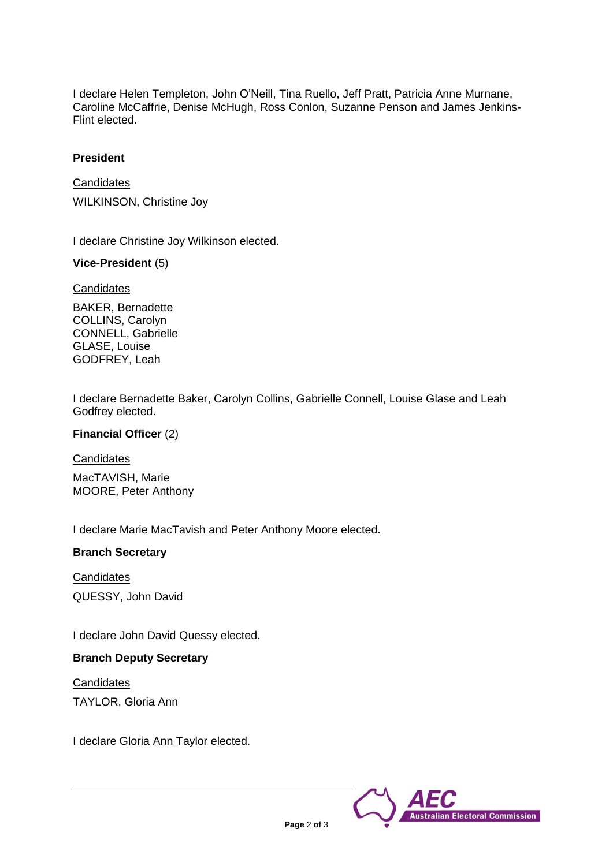I declare Helen Templeton, John O'Neill, Tina Ruello, Jeff Pratt, Patricia Anne Murnane, Caroline McCaffrie, Denise McHugh, Ross Conlon, Suzanne Penson and James Jenkins-Flint elected.

#### **President**

**Candidates** WILKINSON, Christine Joy

I declare Christine Joy Wilkinson elected.

#### **Vice-President** (5)

**Candidates** 

BAKER, Bernadette COLLINS, Carolyn CONNELL, Gabrielle GLASE, Louise GODFREY, Leah

I declare Bernadette Baker, Carolyn Collins, Gabrielle Connell, Louise Glase and Leah Godfrey elected.

**Financial Officer** (2)

**Candidates** 

MacTAVISH, Marie MOORE, Peter Anthony

I declare Marie MacTavish and Peter Anthony Moore elected.

#### **Branch Secretary**

**Candidates** QUESSY, John David

I declare John David Quessy elected.

### **Branch Deputy Secretary**

**Candidates** TAYLOR, Gloria Ann

I declare Gloria Ann Taylor elected.